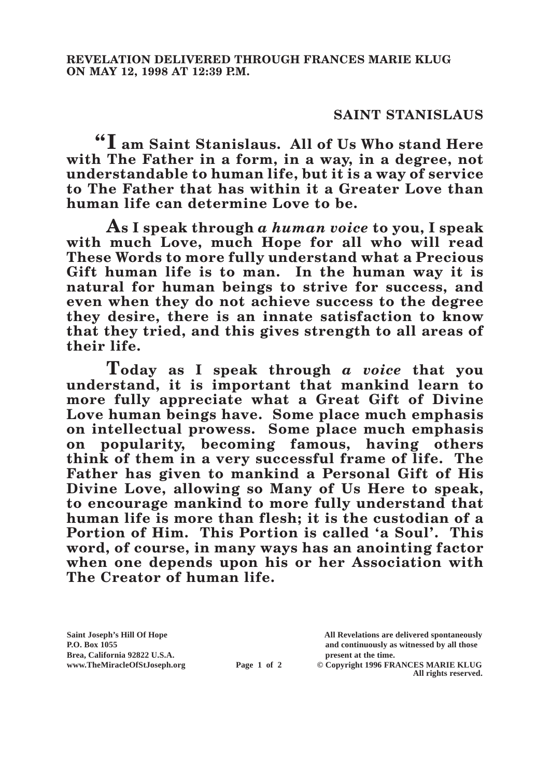## **SAINT STANISLAUS**

**"I am Saint Stanislaus. All of Us Who stand Here with The Father in a form, in a way, in a degree, not understandable to human life, but it is a way of service to The Father that has within it a Greater Love than human life can determine Love to be.**

**As I speak through** *a human voice* **to you, I speak with much Love, much Hope for all who will read These Words to more fully understand what a Precious Gift human life is to man. In the human way it is natural for human beings to strive for success, and even when they do not achieve success to the degree they desire, there is an innate satisfaction to know that they tried, and this gives strength to all areas of their life.**

**Today as I speak through** *a voice* **that you understand, it is important that mankind learn to more fully appreciate what a Great Gift of Divine Love human beings have. Some place much emphasis on intellectual prowess. Some place much emphasis on popularity, becoming famous, having others think of them in a very successful frame of life. The Father has given to mankind a Personal Gift of His Divine Love, allowing so Many of Us Here to speak, to encourage mankind to more fully understand that human life is more than flesh; it is the custodian of a Portion of Him. This Portion is called 'a Soul'. This word, of course, in many ways has an anointing factor when one depends upon his or her Association with The Creator of human life.**

**Brea, California 92822 U.S.A. present at the time.**<br> **present at the time.**<br> **present at the time.**<br> **present at the time.**<br> **present at the time.**<br> **present at the time.** 

**Saint Joseph's Hill Of Hope All Revelations are delivered spontaneously P.O. Box 1055 and continuously as witnessed by all those** 

**Page 1 of 2** © Copyright 1996 FRANCES MARIE KLUG **All rights reserved.**